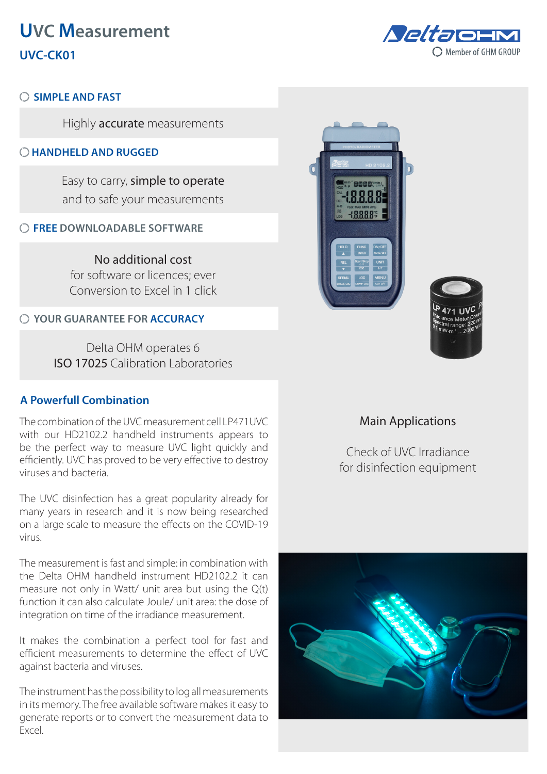# **UVC Measurement UVC-CK01**



## **SIMPLE AND FAST**

Highly accurate measurements

## **HANDHELD AND RUGGED**

Easy to carry, simple to operate and to safe your measurements

## **FREE DOWNLOADABLE SOFTWARE**

No additional cost for software or licences; ever Conversion to Excel in 1 click

## **YOUR GUARANTEE FOR ACCURACY**

Delta OHM operates 6 ISO 17025 Calibration Laboratories

## **A Powerfull Combination**

The combination of the UVC measurement cell LP471UVC with our HD2102.2 handheld instruments appears to be the perfect way to measure UVC light quickly and efficiently. UVC has proved to be very effective to destroy viruses and bacteria.

The UVC disinfection has a great popularity already for many years in research and it is now being researched on a large scale to measure the effects on the COVID-19 virus.

The measurement is fast and simple: in combination with the Delta OHM handheld instrument HD2102.2 it can measure not only in Watt/ unit area but using the Q(t) function it can also calculate Joule/ unit area: the dose of integration on time of the irradiance measurement.

It makes the combination a perfect tool for fast and efficient measurements to determine the effect of UVC against bacteria and viruses.

The instrument has the possibility to log all measurements in its memory. The free available software makes it easy to generate reports or to convert the measurement data to Excel.





## Main Applications

Check of UVC Irradiance for disinfection equipment